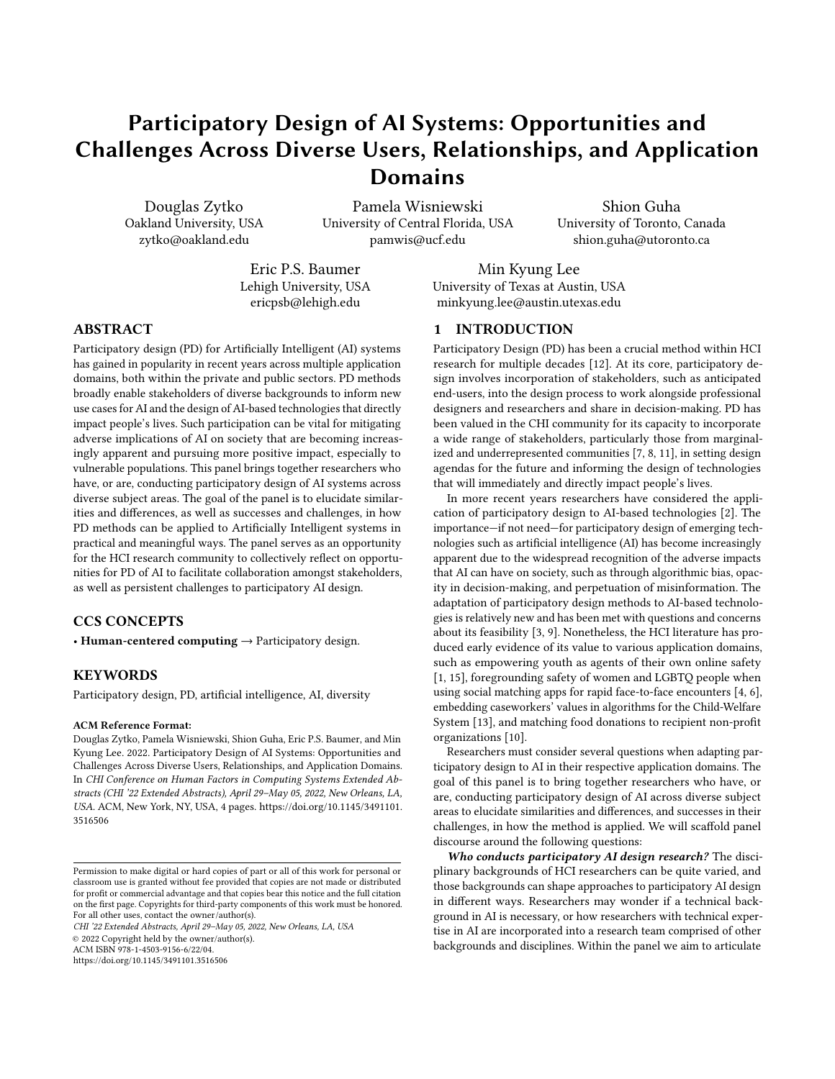# Participatory Design of AI Systems: Opportunities and Challenges Across Diverse Users, Relationships, and Application Domains

Douglas Zytko Oakland University, USA zytko@oakland.edu

Pamela Wisniewski University of Central Florida, USA pamwis@ucf.edu

Shion Guha University of Toronto, Canada shion.guha@utoronto.ca

Eric P.S. Baumer Lehigh University, USA ericpsb@lehigh.edu

Min Kyung Lee University of Texas at Austin, USA minkyung.lee@austin.utexas.edu

## ABSTRACT

Participatory design (PD) for Artificially Intelligent (AI) systems has gained in popularity in recent years across multiple application domains, both within the private and public sectors. PD methods broadly enable stakeholders of diverse backgrounds to inform new use cases for AI and the design of AI-based technologies that directly impact people's lives. Such participation can be vital for mitigating adverse implications of AI on society that are becoming increasingly apparent and pursuing more positive impact, especially to vulnerable populations. This panel brings together researchers who have, or are, conducting participatory design of AI systems across diverse subject areas. The goal of the panel is to elucidate similarities and differences, as well as successes and challenges, in how PD methods can be applied to Artificially Intelligent systems in practical and meaningful ways. The panel serves as an opportunity for the HCI research community to collectively reflect on opportunities for PD of AI to facilitate collaboration amongst stakeholders, as well as persistent challenges to participatory AI design.

## CCS CONCEPTS

• Human-centered computing  $\rightarrow$  Participatory design.

## **KEYWORDS**

Participatory design, PD, artificial intelligence, AI, diversity

#### ACM Reference Format:

Douglas Zytko, Pamela Wisniewski, Shion Guha, Eric P.S. Baumer, and Min Kyung Lee. 2022. Participatory Design of AI Systems: Opportunities and Challenges Across Diverse Users, Relationships, and Application Domains. In CHI Conference on Human Factors in Computing Systems Extended Abstracts (CHI '22 Extended Abstracts), April 29–May 05, 2022, New Orleans, LA, USA. ACM, New York, NY, USA, [4](#page-3-0) pages. [https://doi.org/10.1145/3491101.](https://doi.org/10.1145/3491101.3516506) [3516506](https://doi.org/10.1145/3491101.3516506)

CHI '22 Extended Abstracts, April 29–May 05, 2022, New Orleans, LA, USA

© 2022 Copyright held by the owner/author(s).

ACM ISBN 978-1-4503-9156-6/22/04.

<https://doi.org/10.1145/3491101.3516506>

#### 1 INTRODUCTION

Participatory Design (PD) has been a crucial method within HCI research for multiple decades [\[12\]](#page-3-1). At its core, participatory design involves incorporation of stakeholders, such as anticipated end-users, into the design process to work alongside professional designers and researchers and share in decision-making. PD has been valued in the CHI community for its capacity to incorporate a wide range of stakeholders, particularly those from marginalized and underrepresented communities [\[7,](#page-3-2) [8,](#page-3-3) [11\]](#page-3-4), in setting design agendas for the future and informing the design of technologies that will immediately and directly impact people's lives.

In more recent years researchers have considered the application of participatory design to AI-based technologies [\[2\]](#page-2-0). The importance—if not need—for participatory design of emerging technologies such as artificial intelligence (AI) has become increasingly apparent due to the widespread recognition of the adverse impacts that AI can have on society, such as through algorithmic bias, opacity in decision-making, and perpetuation of misinformation. The adaptation of participatory design methods to AI-based technologies is relatively new and has been met with questions and concerns about its feasibility [\[3,](#page-3-5) [9\]](#page-3-6). Nonetheless, the HCI literature has produced early evidence of its value to various application domains, such as empowering youth as agents of their own online safety [\[1,](#page-2-1) [15\]](#page-3-7), foregrounding safety of women and LGBTQ people when using social matching apps for rapid face-to-face encounters [\[4,](#page-3-8) [6\]](#page-3-9), embedding caseworkers' values in algorithms for the Child-Welfare System [\[13\]](#page-3-10), and matching food donations to recipient non-profit organizations [\[10\]](#page-3-11).

Researchers must consider several questions when adapting participatory design to AI in their respective application domains. The goal of this panel is to bring together researchers who have, or are, conducting participatory design of AI across diverse subject areas to elucidate similarities and differences, and successes in their challenges, in how the method is applied. We will scaffold panel discourse around the following questions:

Who conducts participatory AI design research? The disciplinary backgrounds of HCI researchers can be quite varied, and those backgrounds can shape approaches to participatory AI design in different ways. Researchers may wonder if a technical background in AI is necessary, or how researchers with technical expertise in AI are incorporated into a research team comprised of other backgrounds and disciplines. Within the panel we aim to articulate

Permission to make digital or hard copies of part or all of this work for personal or classroom use is granted without fee provided that copies are not made or distributed for profit or commercial advantage and that copies bear this notice and the full citation on the first page. Copyrights for third-party components of this work must be honored. For all other uses, contact the owner/author(s).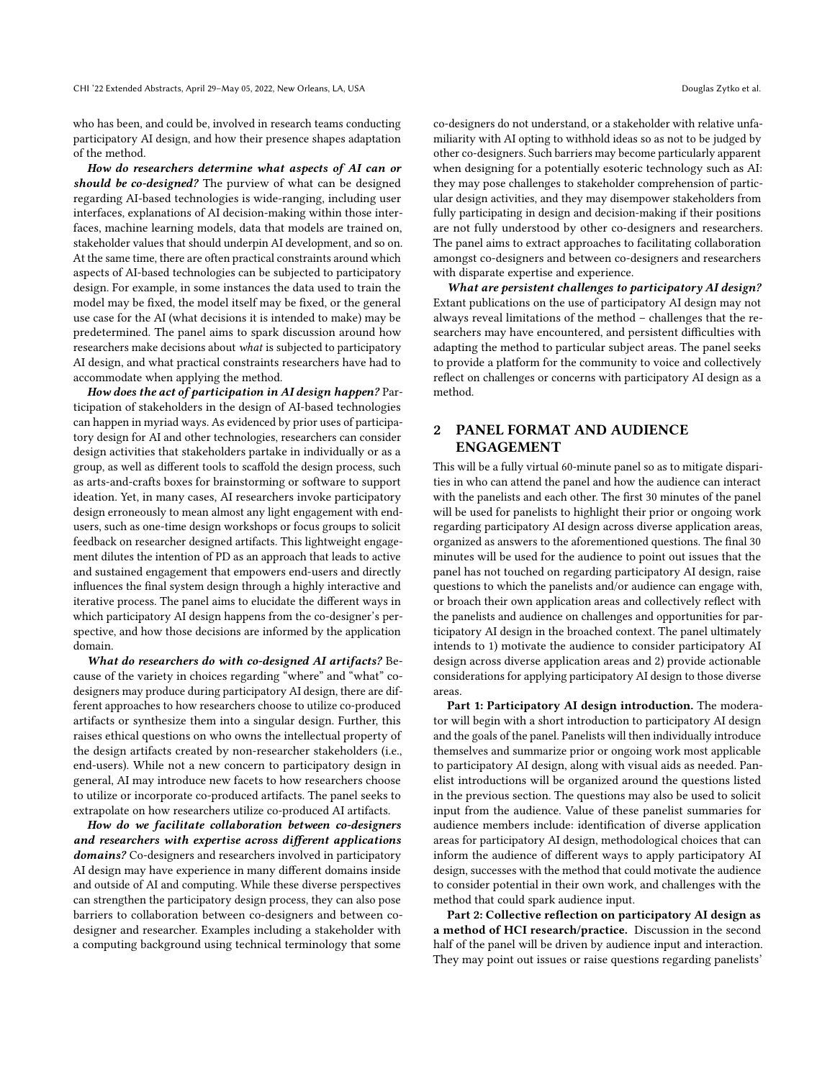who has been, and could be, involved in research teams conducting participatory AI design, and how their presence shapes adaptation of the method.

How do researchers determine what aspects of AI can or should be co-designed? The purview of what can be designed regarding AI-based technologies is wide-ranging, including user interfaces, explanations of AI decision-making within those interfaces, machine learning models, data that models are trained on, stakeholder values that should underpin AI development, and so on. At the same time, there are often practical constraints around which aspects of AI-based technologies can be subjected to participatory design. For example, in some instances the data used to train the model may be fixed, the model itself may be fixed, or the general use case for the AI (what decisions it is intended to make) may be predetermined. The panel aims to spark discussion around how researchers make decisions about what is subjected to participatory AI design, and what practical constraints researchers have had to accommodate when applying the method.

How does the act of participation in AI design happen? Participation of stakeholders in the design of AI-based technologies can happen in myriad ways. As evidenced by prior uses of participatory design for AI and other technologies, researchers can consider design activities that stakeholders partake in individually or as a group, as well as different tools to scaffold the design process, such as arts-and-crafts boxes for brainstorming or software to support ideation. Yet, in many cases, AI researchers invoke participatory design erroneously to mean almost any light engagement with endusers, such as one-time design workshops or focus groups to solicit feedback on researcher designed artifacts. This lightweight engagement dilutes the intention of PD as an approach that leads to active and sustained engagement that empowers end-users and directly influences the final system design through a highly interactive and iterative process. The panel aims to elucidate the different ways in which participatory AI design happens from the co-designer's perspective, and how those decisions are informed by the application domain.

What do researchers do with co-designed AI artifacts? Because of the variety in choices regarding "where" and "what" codesigners may produce during participatory AI design, there are different approaches to how researchers choose to utilize co-produced artifacts or synthesize them into a singular design. Further, this raises ethical questions on who owns the intellectual property of the design artifacts created by non-researcher stakeholders (i.e., end-users). While not a new concern to participatory design in general, AI may introduce new facets to how researchers choose to utilize or incorporate co-produced artifacts. The panel seeks to extrapolate on how researchers utilize co-produced AI artifacts.

How do we facilitate collaboration between co-designers and researchers with expertise across different applications domains? Co-designers and researchers involved in participatory AI design may have experience in many different domains inside and outside of AI and computing. While these diverse perspectives can strengthen the participatory design process, they can also pose barriers to collaboration between co-designers and between codesigner and researcher. Examples including a stakeholder with a computing background using technical terminology that some

co-designers do not understand, or a stakeholder with relative unfamiliarity with AI opting to withhold ideas so as not to be judged by other co-designers. Such barriers may become particularly apparent when designing for a potentially esoteric technology such as AI: they may pose challenges to stakeholder comprehension of particular design activities, and they may disempower stakeholders from fully participating in design and decision-making if their positions are not fully understood by other co-designers and researchers. The panel aims to extract approaches to facilitating collaboration amongst co-designers and between co-designers and researchers with disparate expertise and experience.

What are persistent challenges to participatory AI design? Extant publications on the use of participatory AI design may not always reveal limitations of the method – challenges that the researchers may have encountered, and persistent difficulties with adapting the method to particular subject areas. The panel seeks to provide a platform for the community to voice and collectively reflect on challenges or concerns with participatory AI design as a method.

## 2 PANEL FORMAT AND AUDIENCE ENGAGEMENT

This will be a fully virtual 60-minute panel so as to mitigate disparities in who can attend the panel and how the audience can interact with the panelists and each other. The first 30 minutes of the panel will be used for panelists to highlight their prior or ongoing work regarding participatory AI design across diverse application areas, organized as answers to the aforementioned questions. The final 30 minutes will be used for the audience to point out issues that the panel has not touched on regarding participatory AI design, raise questions to which the panelists and/or audience can engage with, or broach their own application areas and collectively reflect with the panelists and audience on challenges and opportunities for participatory AI design in the broached context. The panel ultimately intends to 1) motivate the audience to consider participatory AI design across diverse application areas and 2) provide actionable considerations for applying participatory AI design to those diverse areas.

Part 1: Participatory AI design introduction. The moderator will begin with a short introduction to participatory AI design and the goals of the panel. Panelists will then individually introduce themselves and summarize prior or ongoing work most applicable to participatory AI design, along with visual aids as needed. Panelist introductions will be organized around the questions listed in the previous section. The questions may also be used to solicit input from the audience. Value of these panelist summaries for audience members include: identification of diverse application areas for participatory AI design, methodological choices that can inform the audience of different ways to apply participatory AI design, successes with the method that could motivate the audience to consider potential in their own work, and challenges with the method that could spark audience input.

Part 2: Collective reflection on participatory AI design as a method of HCI research/practice. Discussion in the second half of the panel will be driven by audience input and interaction. They may point out issues or raise questions regarding panelists'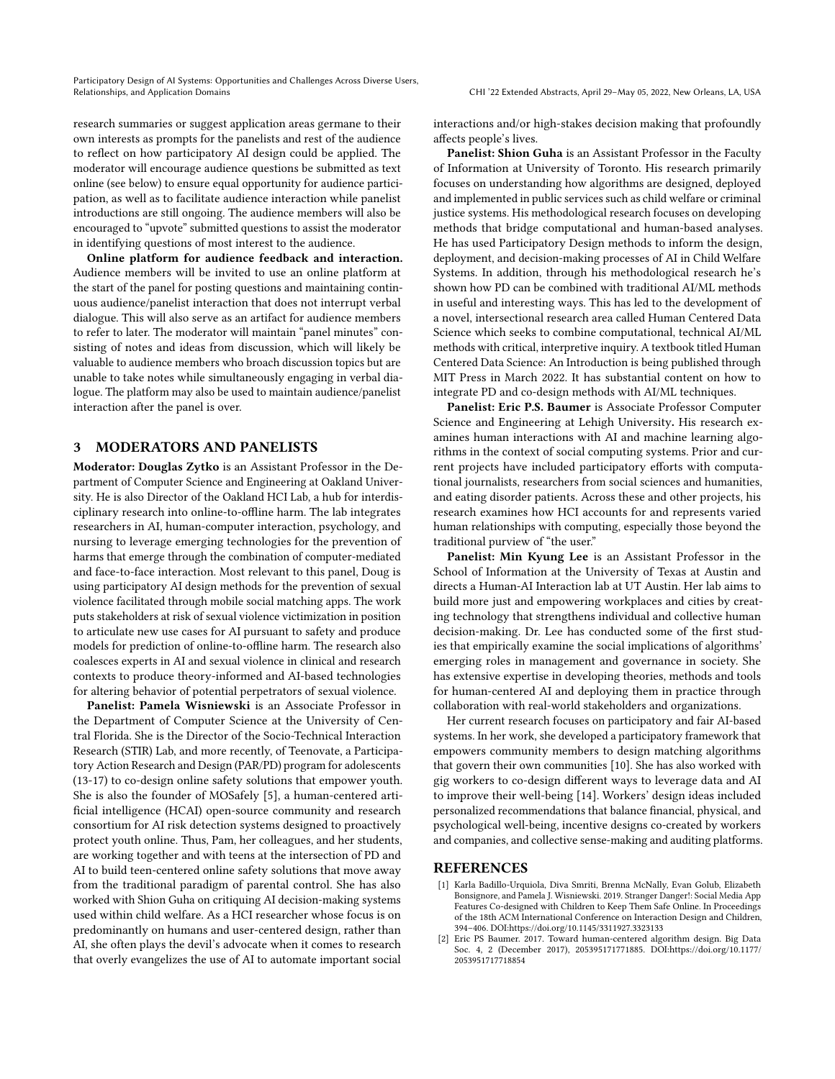Participatory Design of AI Systems: Opportunities and Challenges Across Diverse Users, Relationships, and Application Domains CHI '22 Extended Abstracts, April 29–May 05, 2022, New Orleans, LA, USA

research summaries or suggest application areas germane to their own interests as prompts for the panelists and rest of the audience to reflect on how participatory AI design could be applied. The moderator will encourage audience questions be submitted as text online (see below) to ensure equal opportunity for audience participation, as well as to facilitate audience interaction while panelist introductions are still ongoing. The audience members will also be encouraged to "upvote" submitted questions to assist the moderator in identifying questions of most interest to the audience.

Online platform for audience feedback and interaction. Audience members will be invited to use an online platform at the start of the panel for posting questions and maintaining continuous audience/panelist interaction that does not interrupt verbal dialogue. This will also serve as an artifact for audience members to refer to later. The moderator will maintain "panel minutes" consisting of notes and ideas from discussion, which will likely be valuable to audience members who broach discussion topics but are unable to take notes while simultaneously engaging in verbal dialogue. The platform may also be used to maintain audience/panelist interaction after the panel is over.

### 3 MODERATORS AND PANELISTS

Moderator: Douglas Zytko is an Assistant Professor in the Department of Computer Science and Engineering at Oakland University. He is also Director of the Oakland HCI Lab, a hub for interdisciplinary research into online-to-offline harm. The lab integrates researchers in AI, human-computer interaction, psychology, and nursing to leverage emerging technologies for the prevention of harms that emerge through the combination of computer-mediated and face-to-face interaction. Most relevant to this panel, Doug is using participatory AI design methods for the prevention of sexual violence facilitated through mobile social matching apps. The work puts stakeholders at risk of sexual violence victimization in position to articulate new use cases for AI pursuant to safety and produce models for prediction of online-to-offline harm. The research also coalesces experts in AI and sexual violence in clinical and research contexts to produce theory-informed and AI-based technologies for altering behavior of potential perpetrators of sexual violence.

Panelist: Pamela Wisniewski is an Associate Professor in the Department of Computer Science at the University of Central Florida. She is the Director of the Socio-Technical Interaction Research (STIR) Lab, and more recently, of Teenovate, a Participatory Action Research and Design (PAR/PD) program for adolescents (13-17) to co-design online safety solutions that empower youth. She is also the founder of MOSafely [\[5\]](#page-3-12), a human-centered artificial intelligence (HCAI) open-source community and research consortium for AI risk detection systems designed to proactively protect youth online. Thus, Pam, her colleagues, and her students, are working together and with teens at the intersection of PD and AI to build teen-centered online safety solutions that move away from the traditional paradigm of parental control. She has also worked with Shion Guha on critiquing AI decision-making systems used within child welfare. As a HCI researcher whose focus is on predominantly on humans and user-centered design, rather than AI, she often plays the devil's advocate when it comes to research that overly evangelizes the use of AI to automate important social

interactions and/or high-stakes decision making that profoundly affects people's lives.

Panelist: Shion Guha is an Assistant Professor in the Faculty of Information at University of Toronto. His research primarily focuses on understanding how algorithms are designed, deployed and implemented in public services such as child welfare or criminal justice systems. His methodological research focuses on developing methods that bridge computational and human-based analyses. He has used Participatory Design methods to inform the design, deployment, and decision-making processes of AI in Child Welfare Systems. In addition, through his methodological research he's shown how PD can be combined with traditional AI/ML methods in useful and interesting ways. This has led to the development of a novel, intersectional research area called Human Centered Data Science which seeks to combine computational, technical AI/ML methods with critical, interpretive inquiry. A textbook titled Human Centered Data Science: An Introduction is being published through MIT Press in March 2022. It has substantial content on how to integrate PD and co-design methods with AI/ML techniques.

Panelist: Eric P.S. Baumer is Associate Professor Computer Science and Engineering at Lehigh University. His research examines human interactions with AI and machine learning algorithms in the context of social computing systems. Prior and current projects have included participatory efforts with computational journalists, researchers from social sciences and humanities, and eating disorder patients. Across these and other projects, his research examines how HCI accounts for and represents varied human relationships with computing, especially those beyond the traditional purview of "the user."

Panelist: Min Kyung Lee is an Assistant Professor in the School of Information at the University of Texas at Austin and directs a Human-AI Interaction lab at UT Austin. Her lab aims to build more just and empowering workplaces and cities by creating technology that strengthens individual and collective human decision-making. Dr. Lee has conducted some of the first studies that empirically examine the social implications of algorithms' emerging roles in management and governance in society. She has extensive expertise in developing theories, methods and tools for human-centered AI and deploying them in practice through collaboration with real-world stakeholders and organizations.

Her current research focuses on participatory and fair AI-based systems. In her work, she developed a participatory framework that empowers community members to design matching algorithms that govern their own communities [\[10\]](#page-3-11). She has also worked with gig workers to co-design different ways to leverage data and AI to improve their well-being [\[14\]](#page-3-13). Workers' design ideas included personalized recommendations that balance financial, physical, and psychological well-being, incentive designs co-created by workers and companies, and collective sense-making and auditing platforms.

#### **REFERENCES**

- <span id="page-2-1"></span>[1] Karla Badillo-Urquiola, Diva Smriti, Brenna McNally, Evan Golub, Elizabeth Bonsignore, and Pamela J. Wisniewski. 2019. Stranger Danger!: Social Media App Features Co-designed with Children to Keep Them Safe Online. In Proceedings of the 18th ACM International Conference on Interaction Design and Children, 394–406. DOI[:https://doi.org/10.1145/3311927.3323133](https://doi.org/10.1145/3311927.3323133)
- <span id="page-2-0"></span>[2] Eric PS Baumer. 2017. Toward human-centered algorithm design. Big Data Soc. 4, 2 (December 2017), 205395171771885. DOI[:https://doi.org/10.1177/](https://doi.org/10.1177/2053951717718854) [2053951717718854](https://doi.org/10.1177/2053951717718854)